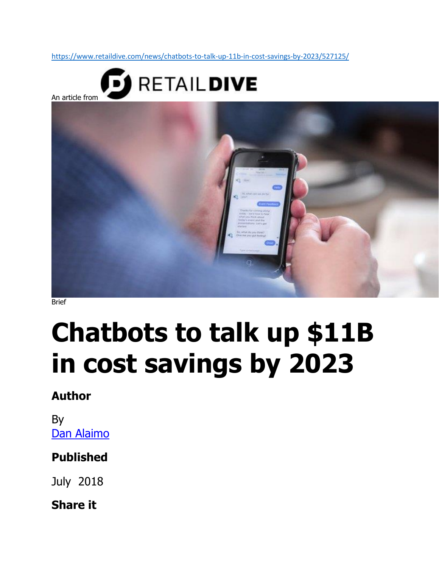<https://www.retaildive.com/news/chatbots-to-talk-up-11b-in-cost-savings-by-2023/527125/>



Brief

# **Chatbots to talk up \$11B in cost savings by 2023**

## **Author**

By Dan Alaimo

### **Published**

July 2018

#### **Share it**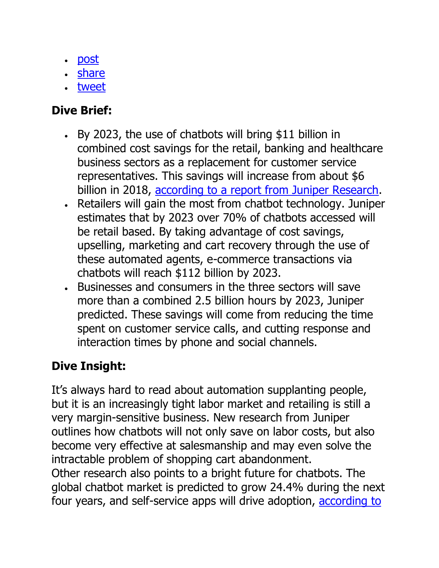- [post](https://www.linkedin.com/shareArticle?mini=true&url=https%3A//www.retaildive.com/news/chatbots-to-talk-up-11b-in-cost-savings-by-2023/527125/&title=Chatbots%20to%20talk%20up%20%2411B%20in%20cost%20savings%20by%202023)
- [share](https://www.facebook.com/sharer/sharer.php?u=https%3A//www.retaildive.com/news/chatbots-to-talk-up-11b-in-cost-savings-by-2023/527125/)
- [tweet](https://twitter.com/intent/tweet?text=Chatbots%20to%20talk%20up%20%2411B%20in%20cost%20savings%20by%202023%20https%3A//www.retaildive.com/news/chatbots-to-talk-up-11b-in-cost-savings-by-2023/527125/%20via%20@RetailDive)

## **Dive Brief:**

- By 2023, the use of chatbots will bring \$11 billion in combined cost savings for the retail, banking and healthcare business sectors as a replacement for customer service representatives. This savings will increase from about \$6 billion in 2018, [according to a report from Juniper Research.](https://www.juniperresearch.com/document-library/white-papers/how-chatbots-will-transform-the-retail-industry)
- Retailers will gain the most from chatbot technology. Juniper estimates that by 2023 over 70% of chatbots accessed will be retail based. By taking advantage of cost savings, upselling, marketing and cart recovery through the use of these automated agents, e-commerce transactions via chatbots will reach \$112 billion by 2023.
- Businesses and consumers in the three sectors will save more than a combined 2.5 billion hours by 2023, Juniper predicted. These savings will come from reducing the time spent on customer service calls, and cutting response and interaction times by phone and social channels.

## **Dive Insight:**

It's always hard to read about automation supplanting people, but it is an increasingly tight labor market and retailing is still a very margin-sensitive business. New research from Juniper outlines how chatbots will not only save on labor costs, but also become very effective at salesmanship and may even solve the intractable problem of shopping cart abandonment. Other research also points to a bright future for chatbots. The global chatbot market is predicted to grow 24.4% during the next four years, and self-service apps will drive adoption, [according to](https://www.retaildive.com/news/ai-poised-to-take-over-more-customer-service/517694/)